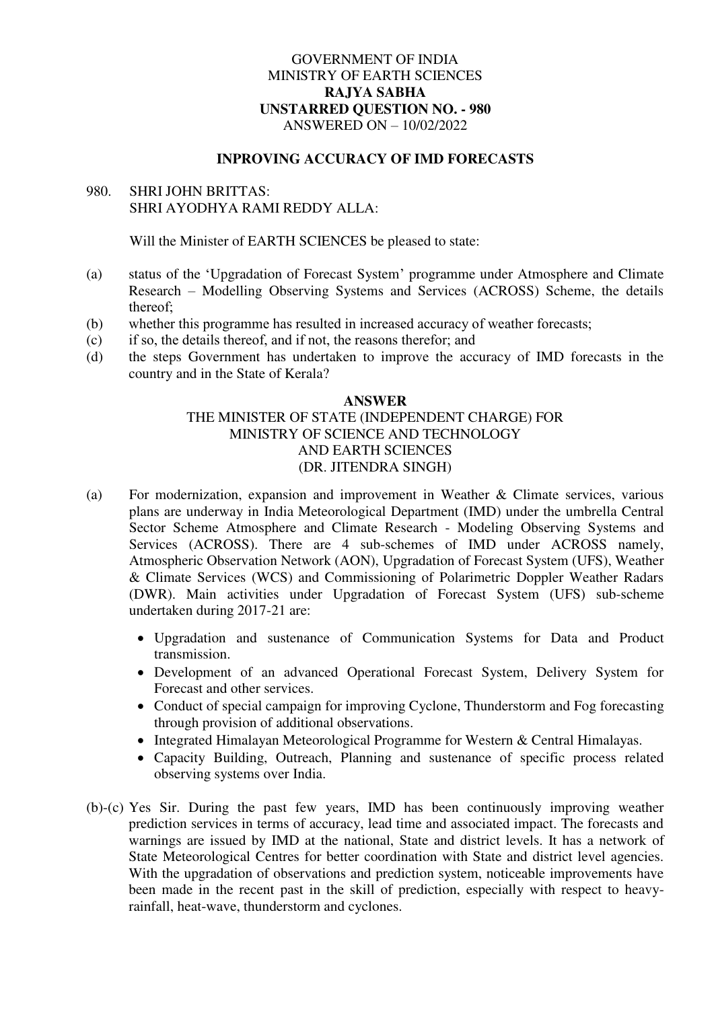# GOVERNMENT OF INDIA MINISTRY OF EARTH SCIENCES **RAJYA SABHA UNSTARRED QUESTION NO. - 980**  ANSWERED ON – 10/02/2022

#### **INPROVING ACCURACY OF IMD FORECASTS**

# 980. SHRI JOHN BRITTAS: SHRI AYODHYA RAMI REDDY ALLA:

Will the Minister of EARTH SCIENCES be pleased to state:

- (a) status of the 'Upgradation of Forecast System' programme under Atmosphere and Climate Research – Modelling Observing Systems and Services (ACROSS) Scheme, the details thereof;
- (b) whether this programme has resulted in increased accuracy of weather forecasts;
- (c) if so, the details thereof, and if not, the reasons therefor; and
- (d) the steps Government has undertaken to improve the accuracy of IMD forecasts in the country and in the State of Kerala?

## **ANSWER**  THE MINISTER OF STATE (INDEPENDENT CHARGE) FOR MINISTRY OF SCIENCE AND TECHNOLOGY AND EARTH SCIENCES (DR. JITENDRA SINGH)

- (a) For modernization, expansion and improvement in Weather & Climate services, various plans are underway in India Meteorological Department (IMD) under the umbrella Central Sector Scheme Atmosphere and Climate Research - Modeling Observing Systems and Services (ACROSS). There are 4 sub-schemes of IMD under ACROSS namely, Atmospheric Observation Network (AON), Upgradation of Forecast System (UFS), Weather & Climate Services (WCS) and Commissioning of Polarimetric Doppler Weather Radars (DWR). Main activities under Upgradation of Forecast System (UFS) sub-scheme undertaken during 2017-21 are:
	- Upgradation and sustenance of Communication Systems for Data and Product transmission.
	- Development of an advanced Operational Forecast System, Delivery System for Forecast and other services.
	- Conduct of special campaign for improving Cyclone, Thunderstorm and Fog forecasting through provision of additional observations.
	- Integrated Himalayan Meteorological Programme for Western & Central Himalayas.
	- Capacity Building, Outreach, Planning and sustenance of specific process related observing systems over India.
- (b)-(c) Yes Sir. During the past few years, IMD has been continuously improving weather prediction services in terms of accuracy, lead time and associated impact. The forecasts and warnings are issued by IMD at the national, State and district levels. It has a network of State Meteorological Centres for better coordination with State and district level agencies. With the upgradation of observations and prediction system, noticeable improvements have been made in the recent past in the skill of prediction, especially with respect to heavyrainfall, heat-wave, thunderstorm and cyclones.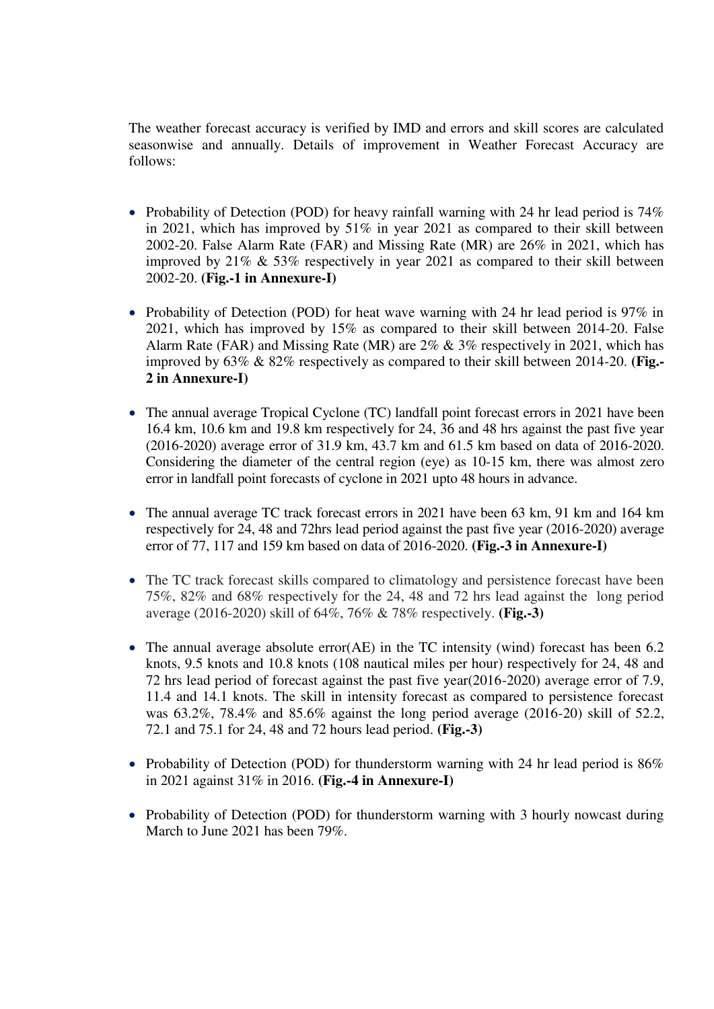The weather forecast accuracy is verified by IMD and errors and skill scores are calculated seasonwise and annually. Details of improvement in Weather Forecast Accuracy are follows:

- Probability of Detection (POD) for heavy rainfall warning with 24 hr lead period is  $74\%$ in 2021, which has improved by 51% in year 2021 as compared to their skill between 2002-20. False Alarm Rate (FAR) and Missing Rate (MR) are 26% in 2021, which has improved by 21% & 53% respectively in year 2021 as compared to their skill between 2002-20. **(Fig.-1 in Annexure-I)**
- Probability of Detection (POD) for heat wave warning with 24 hr lead period is 97% in 2021, which has improved by 15% as compared to their skill between 2014-20. False Alarm Rate (FAR) and Missing Rate (MR) are 2% & 3% respectively in 2021, which has improved by 63% & 82% respectively as compared to their skill between 2014-20. **(Fig.- 2 in Annexure-I)**
- The annual average Tropical Cyclone (TC) landfall point forecast errors in 2021 have been 16.4 km, 10.6 km and 19.8 km respectively for 24, 36 and 48 hrs against the past five year (2016-2020) average error of 31.9 km, 43.7 km and 61.5 km based on data of 2016-2020. Considering the diameter of the central region (eye) as 10-15 km, there was almost zero error in landfall point forecasts of cyclone in 2021 upto 48 hours in advance.
- The annual average TC track forecast errors in 2021 have been 63 km, 91 km and 164 km respectively for 24, 48 and 72hrs lead period against the past five year (2016-2020) average error of 77, 117 and 159 km based on data of 2016-2020. **(Fig.-3 in Annexure-I)**
- The TC track forecast skills compared to climatology and persistence forecast have been 75%, 82% and 68% respectively for the 24, 48 and 72 hrs lead against the long period average (2016-2020) skill of 64%, 76% & 78% respectively. **(Fig.-3)**
- The annual average absolute error(AE) in the TC intensity (wind) forecast has been 6.2 knots, 9.5 knots and 10.8 knots (108 nautical miles per hour) respectively for 24, 48 and 72 hrs lead period of forecast against the past five year(2016-2020) average error of 7.9, 11.4 and 14.1 knots. The skill in intensity forecast as compared to persistence forecast was 63.2%, 78.4% and 85.6% against the long period average (2016-20) skill of 52.2, 72.1 and 75.1 for 24, 48 and 72 hours lead period. **(Fig.-3)**
- Probability of Detection (POD) for thunderstorm warning with 24 hr lead period is  $86\%$ in 2021 against 31% in 2016. **(Fig.-4 in Annexure-I)**
- Probability of Detection (POD) for thunderstorm warning with 3 hourly nowcast during March to June 2021 has been 79%.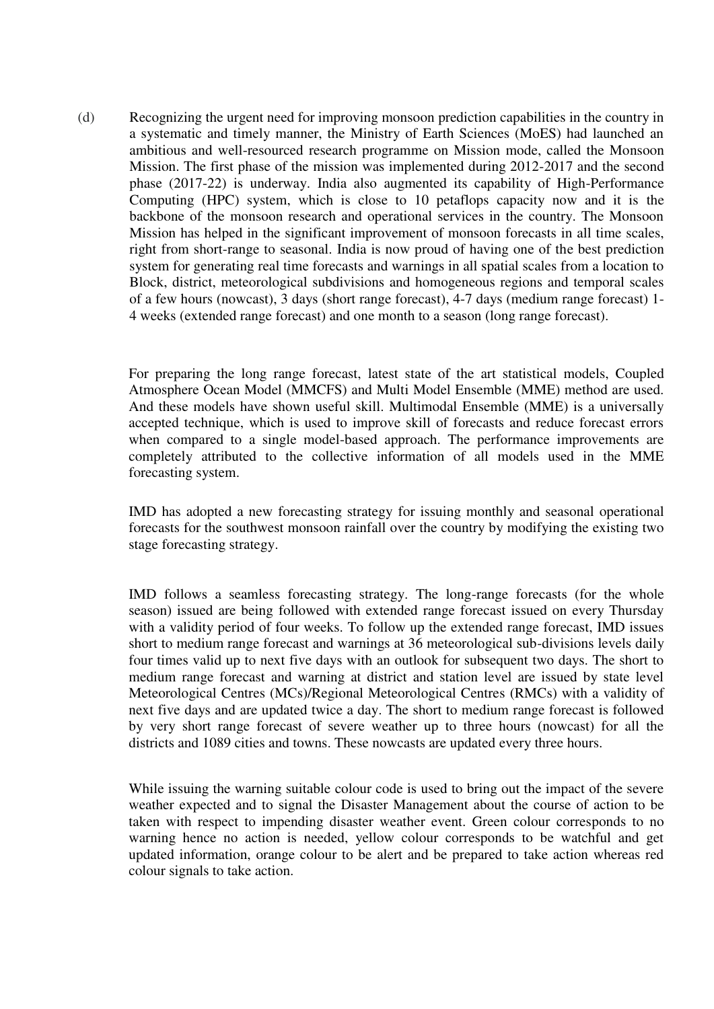(d) Recognizing the urgent need for improving monsoon prediction capabilities in the country in a systematic and timely manner, the Ministry of Earth Sciences (MoES) had launched an ambitious and well-resourced research programme on Mission mode, called the Monsoon Mission. The first phase of the mission was implemented during 2012-2017 and the second phase (2017-22) is underway. India also augmented its capability of High-Performance Computing (HPC) system, which is close to 10 petaflops capacity now and it is the backbone of the monsoon research and operational services in the country. The Monsoon Mission has helped in the significant improvement of monsoon forecasts in all time scales, right from short-range to seasonal. India is now proud of having one of the best prediction system for generating real time forecasts and warnings in all spatial scales from a location to Block, district, meteorological subdivisions and homogeneous regions and temporal scales of a few hours (nowcast), 3 days (short range forecast), 4-7 days (medium range forecast) 1- 4 weeks (extended range forecast) and one month to a season (long range forecast).

For preparing the long range forecast, latest state of the art statistical models, Coupled Atmosphere Ocean Model (MMCFS) and Multi Model Ensemble (MME) method are used. And these models have shown useful skill. Multimodal Ensemble (MME) is a universally accepted technique, which is used to improve skill of forecasts and reduce forecast errors when compared to a single model-based approach. The performance improvements are completely attributed to the collective information of all models used in the MME forecasting system.

IMD has adopted a new forecasting strategy for issuing monthly and seasonal operational forecasts for the southwest monsoon rainfall over the country by modifying the existing two stage forecasting strategy.

IMD follows a seamless forecasting strategy. The long-range forecasts (for the whole season) issued are being followed with extended range forecast issued on every Thursday with a validity period of four weeks. To follow up the extended range forecast, IMD issues short to medium range forecast and warnings at 36 meteorological sub-divisions levels daily four times valid up to next five days with an outlook for subsequent two days. The short to medium range forecast and warning at district and station level are issued by state level Meteorological Centres (MCs)/Regional Meteorological Centres (RMCs) with a validity of next five days and are updated twice a day. The short to medium range forecast is followed by very short range forecast of severe weather up to three hours (nowcast) for all the districts and 1089 cities and towns. These nowcasts are updated every three hours.

While issuing the warning suitable colour code is used to bring out the impact of the severe weather expected and to signal the Disaster Management about the course of action to be taken with respect to impending disaster weather event. Green colour corresponds to no warning hence no action is needed, yellow colour corresponds to be watchful and get updated information, orange colour to be alert and be prepared to take action whereas red colour signals to take action.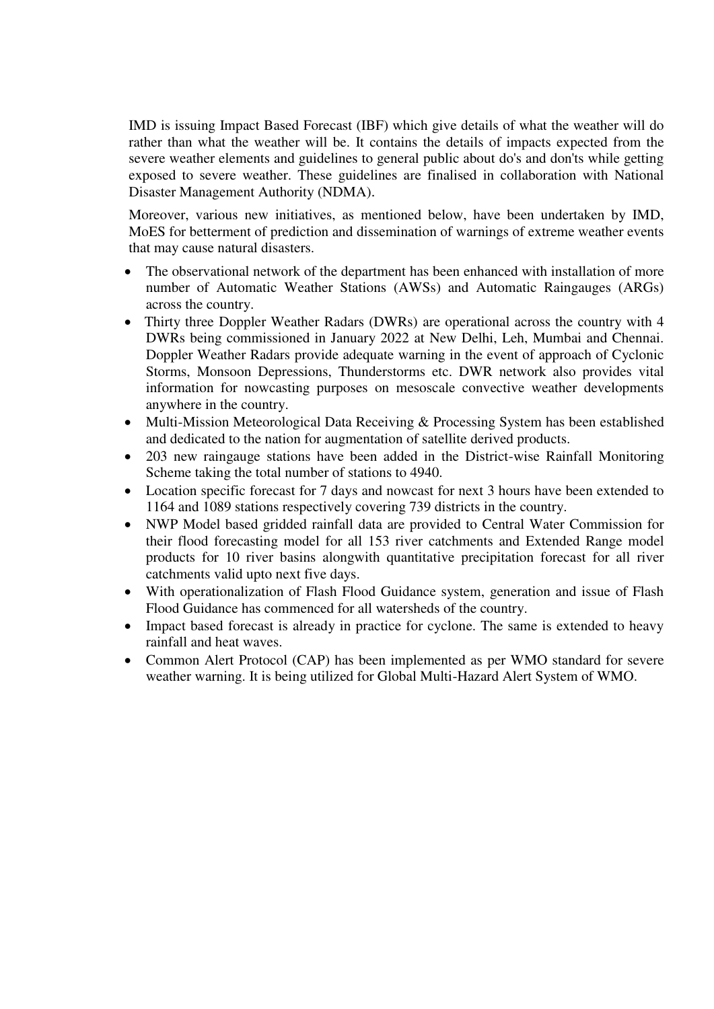IMD is issuing Impact Based Forecast (IBF) which give details of what the weather will do rather than what the weather will be. It contains the details of impacts expected from the severe weather elements and guidelines to general public about do's and don'ts while getting exposed to severe weather. These guidelines are finalised in collaboration with National Disaster Management Authority (NDMA).

 Moreover, various new initiatives, as mentioned below, have been undertaken by IMD, MoES for betterment of prediction and dissemination of warnings of extreme weather events that may cause natural disasters.

- The observational network of the department has been enhanced with installation of more number of Automatic Weather Stations (AWSs) and Automatic Raingauges (ARGs) across the country.
- Thirty three Doppler Weather Radars (DWRs) are operational across the country with 4 DWRs being commissioned in January 2022 at New Delhi, Leh, Mumbai and Chennai. Doppler Weather Radars provide adequate warning in the event of approach of Cyclonic Storms, Monsoon Depressions, Thunderstorms etc. DWR network also provides vital information for nowcasting purposes on mesoscale convective weather developments anywhere in the country.
- Multi-Mission Meteorological Data Receiving & Processing System has been established and dedicated to the nation for augmentation of satellite derived products.
- 203 new raingauge stations have been added in the District-wise Rainfall Monitoring Scheme taking the total number of stations to 4940.
- Location specific forecast for 7 days and nowcast for next 3 hours have been extended to 1164 and 1089 stations respectively covering 739 districts in the country.
- NWP Model based gridded rainfall data are provided to Central Water Commission for their flood forecasting model for all 153 river catchments and Extended Range model products for 10 river basins alongwith quantitative precipitation forecast for all river catchments valid upto next five days.
- With operationalization of Flash Flood Guidance system, generation and issue of Flash Flood Guidance has commenced for all watersheds of the country.
- Impact based forecast is already in practice for cyclone. The same is extended to heavy rainfall and heat waves.
- Common Alert Protocol (CAP) has been implemented as per WMO standard for severe weather warning. It is being utilized for Global Multi-Hazard Alert System of WMO.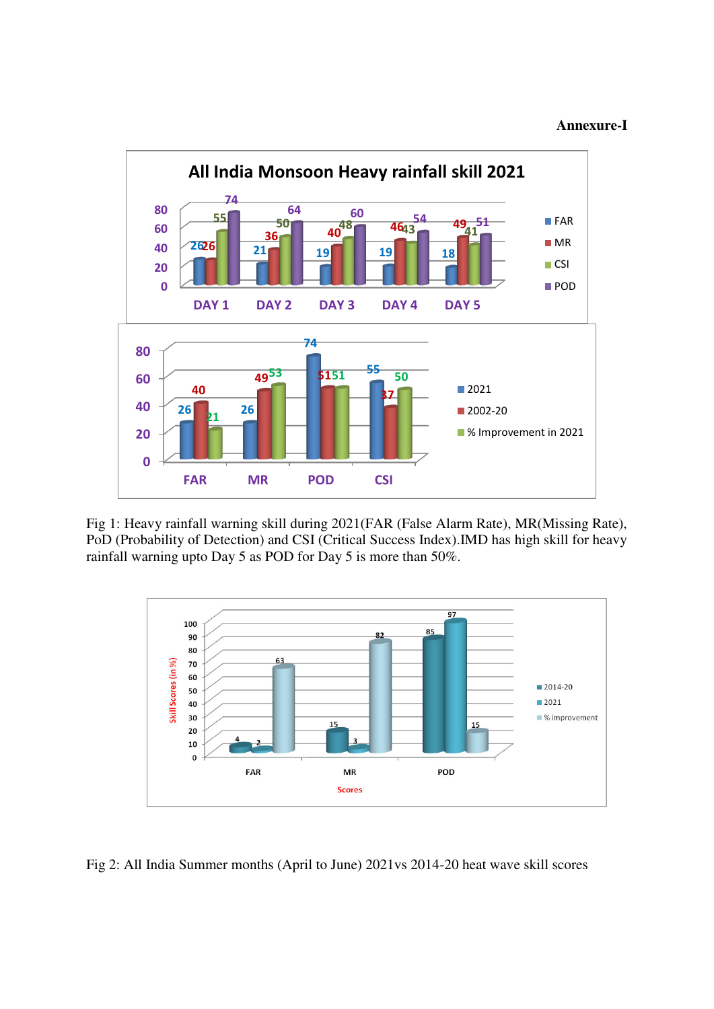#### **Annexure-I**



Fig 1: Heavy rainfall warning skill during 2021(FAR (False Alarm Rate), MR(Missing Rate), PoD (Probability of Detection) and CSI (Critical Success Index).IMD has high skill for heavy rainfall warning upto Day 5 as POD for Day 5 is more than 50%.



Fig 2: All India Summer months (April to June) 2021vs 2014-20 heat wave skill scores